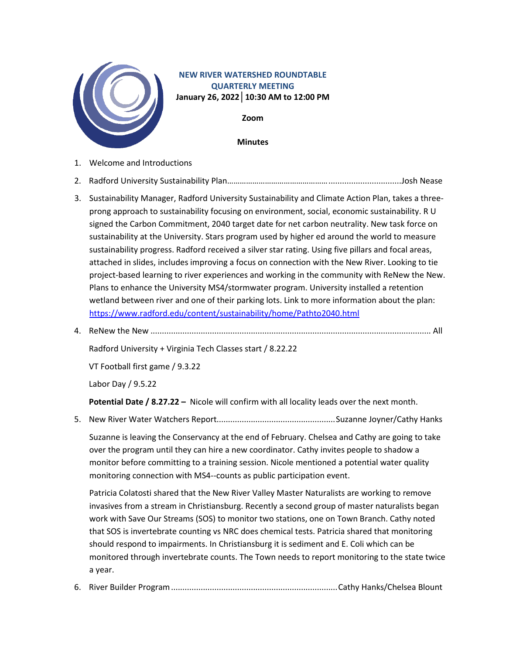

## **NEW RIVER WATERSHED ROUNDTABLE QUARTERLY MEETING January 26, 2022│10:30 AM to 12:00 PM**

**Zoom**

**Minutes**

- 1. Welcome and Introductions
- 2. Radford University Sustainability Plan…………………………………………................................Josh Nease
- 3. Sustainability Manager, Radford University Sustainability and Climate Action Plan, takes a threeprong approach to sustainability focusing on environment, social, economic sustainability. R U signed the Carbon Commitment, 2040 target date for net carbon neutrality. New task force on sustainability at the University. Stars program used by higher ed around the world to measure sustainability progress. Radford received a silver star rating. Using five pillars and focal areas, attached in slides, includes improving a focus on connection with the New River. Looking to tie project-based learning to river experiences and working in the community with ReNew the New. Plans to enhance the University MS4/stormwater program. University installed a retention wetland between river and one of their parking lots. Link to more information about the plan: <https://www.radford.edu/content/sustainability/home/Pathto2040.html>
- 4. ReNew the New ........................................................................................................................... All

Radford University + Virginia Tech Classes start / 8.22.22

VT Football first game / 9.3.22

Labor Day / 9.5.22

**Potential Date / 8.27.22 –** Nicole will confirm with all locality leads over the next month.

5. New River Water Watchers Report....................................................Suzanne Joyner/Cathy Hanks

Suzanne is leaving the Conservancy at the end of February. Chelsea and Cathy are going to take over the program until they can hire a new coordinator. Cathy invites people to shadow a monitor before committing to a training session. Nicole mentioned a potential water quality monitoring connection with MS4--counts as public participation event.

Patricia Colatosti shared that the New River Valley Master Naturalists are working to remove invasives from a stream in Christiansburg. Recently a second group of master naturalists began work with Save Our Streams (SOS) to monitor two stations, one on Town Branch. Cathy noted that SOS is invertebrate counting vs NRC does chemical tests. Patricia shared that monitoring should respond to impairments. In Christiansburg it is sediment and E. Coli which can be monitored through invertebrate counts. The Town needs to report monitoring to the state twice a year.

6. River Builder Program.........................................................................Cathy Hanks/Chelsea Blount